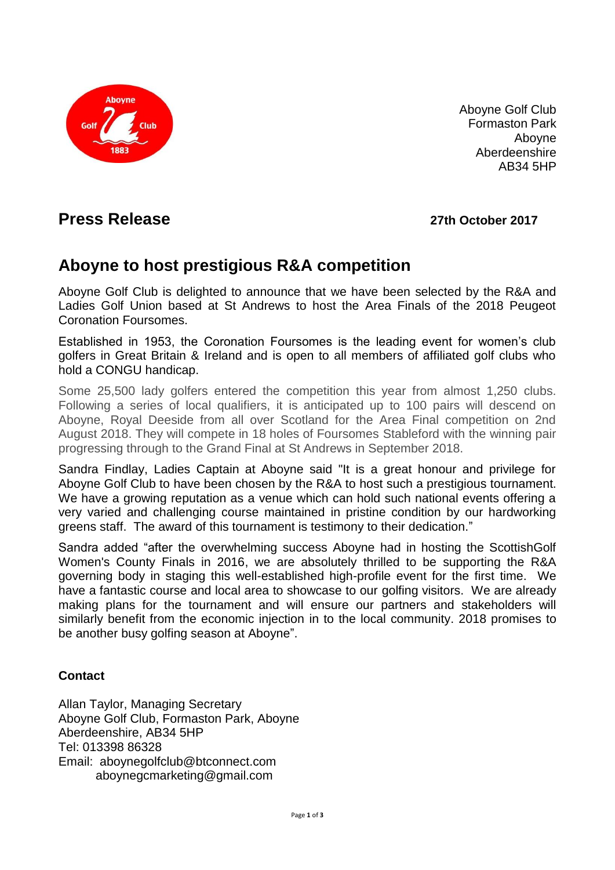

Aboyne Golf Club Formaston Park Aboyne Aberdeenshire AB34 5HP

# **Press Release 27th October 2017**

# **Aboyne to host prestigious R&A competition**

Aboyne Golf Club is delighted to announce that we have been selected by the R&A and Ladies Golf Union based at St Andrews to host the Area Finals of the 2018 Peugeot Coronation Foursomes.

Established in 1953, the Coronation Foursomes is the leading event for women's club golfers in Great Britain & Ireland and is open to all members of affiliated golf clubs who hold a CONGU handicap.

Some 25,500 lady golfers entered the competition this year from almost 1,250 clubs. Following a series of local qualifiers, it is anticipated up to 100 pairs will descend on Aboyne, Royal Deeside from all over Scotland for the Area Final competition on 2nd August 2018. They will compete in 18 holes of Foursomes Stableford with the winning pair progressing through to the Grand Final at St Andrews in September 2018.

Sandra Findlay, Ladies Captain at Aboyne said "It is a great honour and privilege for Aboyne Golf Club to have been chosen by the R&A to host such a prestigious tournament. We have a growing reputation as a venue which can hold such national events offering a very varied and challenging course maintained in pristine condition by our hardworking greens staff. The award of this tournament is testimony to their dedication."

Sandra added "after the overwhelming success Aboyne had in hosting the ScottishGolf Women's County Finals in 2016, we are absolutely thrilled to be supporting the R&A governing body in staging this well-established high-profile event for the first time. We have a fantastic course and local area to showcase to our golfing visitors. We are already making plans for the tournament and will ensure our partners and stakeholders will similarly benefit from the economic injection in to the local community. 2018 promises to be another busy golfing season at Aboyne".

### **Contact**

Allan Taylor, Managing Secretary Aboyne Golf Club, Formaston Park, Aboyne Aberdeenshire, AB34 5HP Tel: 013398 86328 Email: aboynegolfclub@btconnect.com aboynegcmarketing@gmail.com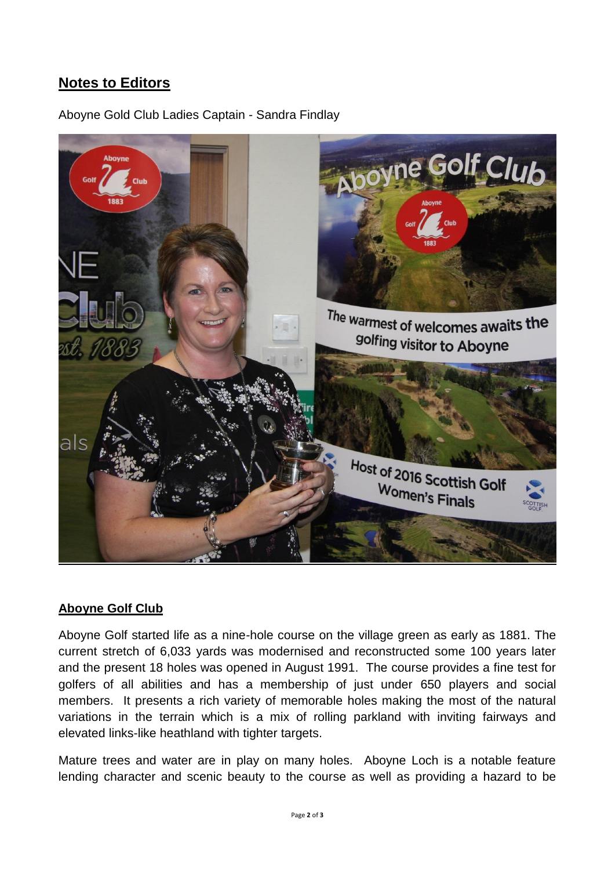## **Notes to Editors**

Aboyne Gold Club Ladies Captain - Sandra Findlay



#### **Aboyne Golf Club**

Aboyne Golf started life as a nine-hole course on the village green as early as 1881. The current stretch of 6,033 yards was modernised and reconstructed some 100 years later and the present 18 holes was opened in August 1991. The course provides a fine test for golfers of all abilities and has a membership of just under 650 players and social members. It presents a rich variety of memorable holes making the most of the natural variations in the terrain which is a mix of rolling parkland with inviting fairways and elevated links-like heathland with tighter targets.

Mature trees and water are in play on many holes. Aboyne Loch is a notable feature lending character and scenic beauty to the course as well as providing a hazard to be